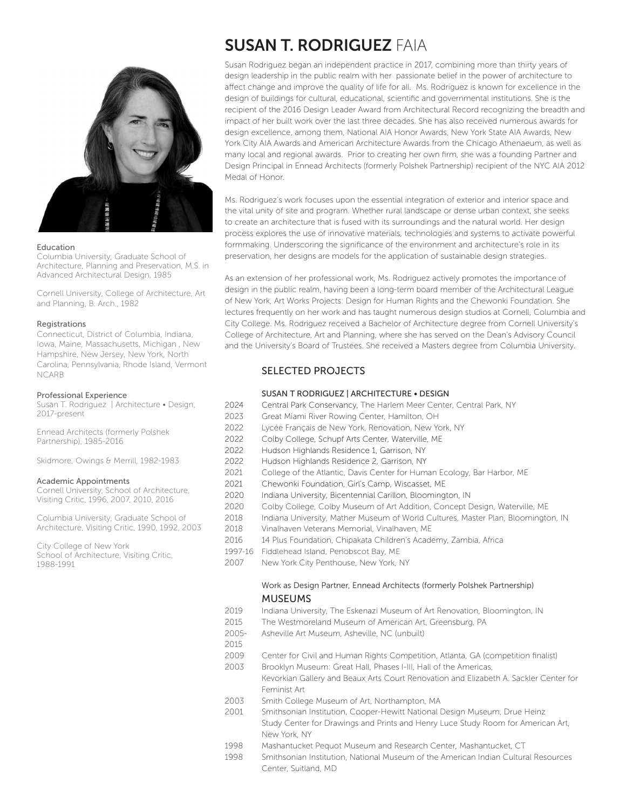

#### Education

Columbia University, Graduate School of Architecture, Planning and Preservation, M.S. in Advanced Architectural Design, 1985

Cornell University, College of Architecture, Art and Planning, B. Arch., 1982

#### Registrations

Connecticut, District of Columbia, Indiana, Iowa, Maine, Massachusetts, Michigan , New Hampshire, New Jersey, New York, North Carolina, Pennsylvania, Rhode Island, Vermont NCARB

#### Professional Experience

Susan T. Rodriguez | Architecture • Design, 2017-present

Ennead Architects (formerly Polshek Partnership), 1985-2016

Skidmore, Owings & Merrill, 1982-1983

#### Academic Appointments

Cornell University, School of Architecture, Visiting Critic, 1996, 2007, 2010, 2016

Columbia University, Graduate School of Architecture, Visiting Critic, 1990, 1992, 2003

City College of New York School of Architecture, Visiting Critic, 1988-1991

# SUSAN T. RODRIGUEZ FAIA

Susan Rodriguez began an independent practice in 2017, combining more than thirty years of design leadership in the public realm with her passionate belief in the power of architecture to affect change and improve the quality of life for all. Ms. Rodriguez is known for excellence in the design of buildings for cultural, educational, scientific and governmental institutions. She is the recipient of the 2016 Design Leader Award from Architectural Record recognizing the breadth and impact of her built work over the last three decades. She has also received numerous awards for design excellence, among them, National AIA Honor Awards, New York State AIA Awards, New York City AIA Awards and American Architecture Awards from the Chicago Athenaeum, as well as many local and regional awards. Prior to creating her own firm, she was a founding Partner and Design Principal in Ennead Architects (formerly Polshek Partnership) recipient of the NYC AIA 2012 Medal of Honor.

Ms. Rodriguez's work focuses upon the essential integration of exterior and interior space and the vital unity of site and program. Whether rural landscape or dense urban context, she seeks to create an architecture that is fused with its surroundings and the natural world. Her design process explores the use of innovative materials, technologies and systems to activate powerful formmaking. Underscoring the significance of the environment and architecture's role in its preservation, her designs are models for the application of sustainable design strategies.

As an extension of her professional work, Ms. Rodriguez actively promotes the importance of design in the public realm, having been a long-term board member of the Architectural League of New York, Art Works Projects: Design for Human Rights and the Chewonki Foundation. She lectures frequently on her work and has taught numerous design studios at Cornell, Columbia and City College. Ms. Rodriguez received a Bachelor of Architecture degree from Cornell University's College of Architecture, Art and Planning, where she has served on the Dean's Advisory Council and the University's Board of Trustees. She received a Masters degree from Columbia University.

# SELECTED PROJECTS

## SUSAN T RODRIGUEZ | ARCHITECTURE • DESIGN

- 2024 Central Park Conservancy, The Harlem Meer Center, Central Park, NY
- 2023 Great Miami River Rowing Center, Hamilton, OH
- 2022 Lycée Français de New York, Renovation, New York, NY
- 2022 Colby College, Schupf Arts Center, Waterville, ME
- 2022 Hudson Highlands Residence 1, Garrison, NY
- 2022 Hudson Highlands Residence 2, Garrison, NY
- 2021 College of the Atlantic, Davis Center for Human Ecology, Bar Harbor, ME
- 2021 Chewonki Foundation, Girl's Camp, Wiscasset, ME
- 2020 Indiana University, Bicentennial Carillon, Bloomington, IN
- 2020 Colby College, Colby Museum of Art Addition, Concept Design, Waterville, ME
- 2018 Indiana University, Mather Museum of World Cultures, Master Plan, Bloomington, IN
- 2018 Vinalhaven Veterans Memorial, Vinalhaven, ME
- 2016 14 Plus Foundation, Chipakata Children's Academy, Zambia, Africa
- 1997-16 Fiddlehead Island, Penobscot Bay, ME
- 2007 New York City Penthouse, New York, NY

## Work as Design Partner, Ennead Architects (formerly Polshek Partnership) MUSEUMS

- 2019 Indiana University, The Eskenazi Museum of Art Renovation, Bloomington, IN
- 2015 The Westmoreland Museum of American Art, Greensburg, PA
- 2005- Asheville Art Museum, Asheville, NC (unbuilt)
- 2015
- 2009 Center for Civil and Human Rights Competition, Atlanta, GA (competition finalist)
- 2003 Brooklyn Museum: Great Hall, Phases I-III, Hall of the Americas,
	- Kevorkian Gallery and Beaux Arts Court Renovation and Elizabeth A. Sackler Center for Feminist Art
- 2003 Smith College Museum of Art, Northampton, MA
- 2001 Smithsonian Institution, Cooper-Hewitt National Design Museum, Drue Heinz Study Center for Drawings and Prints and Henry Luce Study Room for American Art, New York, NY
- 1998 Mashantucket Pequot Museum and Research Center, Mashantucket, CT
- 1998 Smithsonian Institution, National Museum of the American Indian Cultural Resources Center, Suitland, MD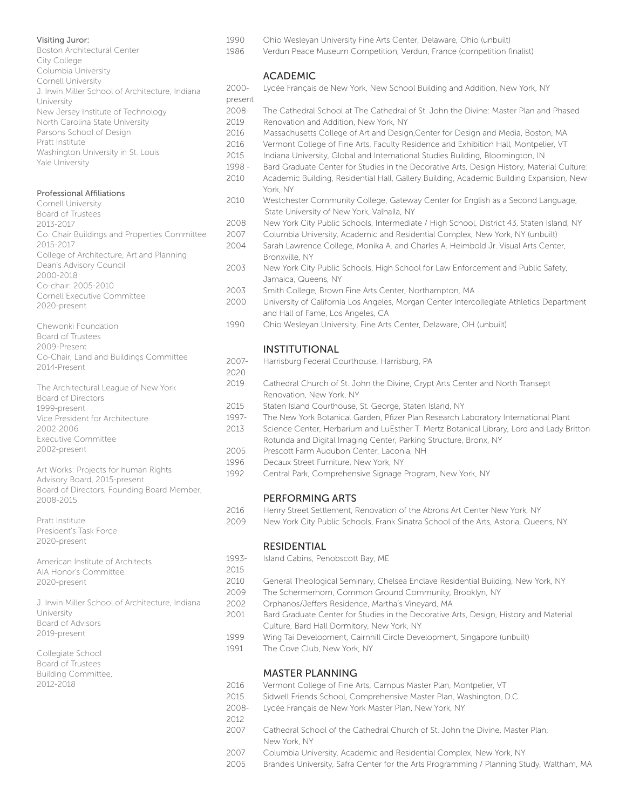## Visiting Juror:

Boston Architectural Center City College Columbia University Cornell University J. Irwin Miller School of Architecture, Indiana University New Jersey Institute of Technology North Carolina State University Parsons School of Design Pratt Institute Washington University in St. Louis Yale University

### Professional Affiliations

| <b>Cornell University</b>                    |
|----------------------------------------------|
| <b>Board of Trustees</b>                     |
| 2013-2017                                    |
| Co. Chair Buildings and Properties Committee |
| 2015-2017                                    |
| College of Architecture, Art and Planning    |
| Dean's Advisory Council                      |
| 2000-2018                                    |
| Co-chair: 2005-2010                          |
| Cornell Executive Committee                  |
| 2020-present                                 |
|                                              |

| Chewonki Foundation                    |
|----------------------------------------|
| Board of Trustees                      |
| 2009-Present                           |
| Co-Chair, Land and Buildings Committee |
| 2014-Present                           |

| The Architectural League of New York |
|--------------------------------------|
| Board of Directors                   |
| 1999-present                         |
| Vice President for Architecture      |
| 2002-2006                            |
| Executive Committee                  |
| 2002-present                         |

Art Works: Projects for human Rights Advisory Board, 2015-present Board of Directors, Founding Board Member, 2008-2015

Pratt Institute President's Task Force 2020-present

American Institute of Architects AIA Honor's Committee 2020-present

J. Irwin Miller School of Architecture, Indiana University Board of Advisors 2019-present

Collegiate School Board of Trustees Building Committee, 2012-2018

- 1990 Ohio Wesleyan University Fine Arts Center, Delaware, Ohio (unbuilt)
- 1986 Verdun Peace Museum Competition, Verdun, France (competition finalist)

## ACADEMIC

- 2000- Lycée Français de New York, New School Building and Addition, New York, NY present
- 2008- The Cathedral School at The Cathedral of St. John the Divine: Master Plan and Phased 2019 Renovation and Addition, New York, NY
- 2016 Massachusetts College of Art and Design,Center for Design and Media, Boston, MA
- 2016 Vermont College of Fine Arts, Faculty Residence and Exhibition Hall, Montpelier, VT
- 2015 Indiana University, Global and International Studies Building, Bloomington, IN
- 1998 Bard Graduate Center for Studies in the Decorative Arts, Design History, Material Culture:
- 2010 Academic Building, Residential Hall, Gallery Building, Academic Building Expansion, New York, NY
- 2010 Westchester Community College, Gateway Center for English as a Second Language, State University of New York, Valhalla, NY
- 2008 New York City Public Schools, Intermediate / High School, District 43, Staten Island, NY
- 2007 Columbia University, Academic and Residential Complex, New York, NY (unbuilt) 2004 Sarah Lawrence College, Monika A. and Charles A. Heimbold Jr. Visual Arts Center, Bronxville, NY
- 2003 New York City Public Schools, High School for Law Enforcement and Public Safety, Jamaica, Queens, NY
- 2003 Smith College, Brown Fine Arts Center, Northampton, MA
- 2000 University of California Los Angeles, Morgan Center Intercollegiate Athletics Department and Hall of Fame, Los Angeles, CA
- 1990 Ohio Wesleyan University, Fine Arts Center, Delaware, OH (unbuilt)

## INSTITUTIONAL

- 2007- Harrisburg Federal Courthouse, Harrisburg, PA 2020
- 2019 Cathedral Church of St. John the Divine, Crypt Arts Center and North Transept Renovation, New York, NY
- 2015 Staten Island Courthouse, St. George, Staten Island, NY
- 1997- The New York Botanical Garden, Pfizer Plan Research Laboratory International Plant
- 2013 Science Center, Herbarium and LuEsther T. Mertz Botanical Library, Lord and Lady Britton Rotunda and Digital Imaging Center, Parking Structure, Bronx, NY
- 2005 Prescott Farm Audubon Center, Laconia, NH
- 1996 Decaux Street Furniture, New York, NY
- 1992 Central Park, Comprehensive Signage Program, New York, NY

## PERFORMING ARTS

- 2016 Henry Street Settlement, Renovation of the Abrons Art Center New York, NY
- 2009 New York City Public Schools, Frank Sinatra School of the Arts, Astoria, Queens, NY

## RESIDENTIAL

- 1993- Island Cabins, Penobscott Bay, ME
	-
- 2010 General Theological Seminary, Chelsea Enclave Residential Building, New York, NY
- 2009 The Schermerhorn, Common Ground Community, Brooklyn, NY
- 2002 Orphanos/Jeffers Residence, Martha's Vineyard, MA
- 2001 Bard Graduate Center for Studies in the Decorative Arts, Design, History and Material Culture, Bard Hall Dormitory, New York, NY
- 1999 Wing Tai Development, Cairnhill Circle Development, Singapore (unbuilt)
- 1991 The Cove Club, New York, NY

## MASTER PLANNING

- 2016 Vermont College of Fine Arts, Campus Master Plan, Montpelier, VT
- 2015 Sidwell Friends School, Comprehensive Master Plan, Washington, D.C.
- 2008- Lycée Français de New York Master Plan, New York, NY
- 2012

2015

- 2007 Cathedral School of the Cathedral Church of St. John the Divine, Master Plan, New York, NY
- 2007 Columbia University, Academic and Residential Complex, New York, NY
- 2005 Brandeis University, Safra Center for the Arts Programming / Planning Study, Waltham, MA